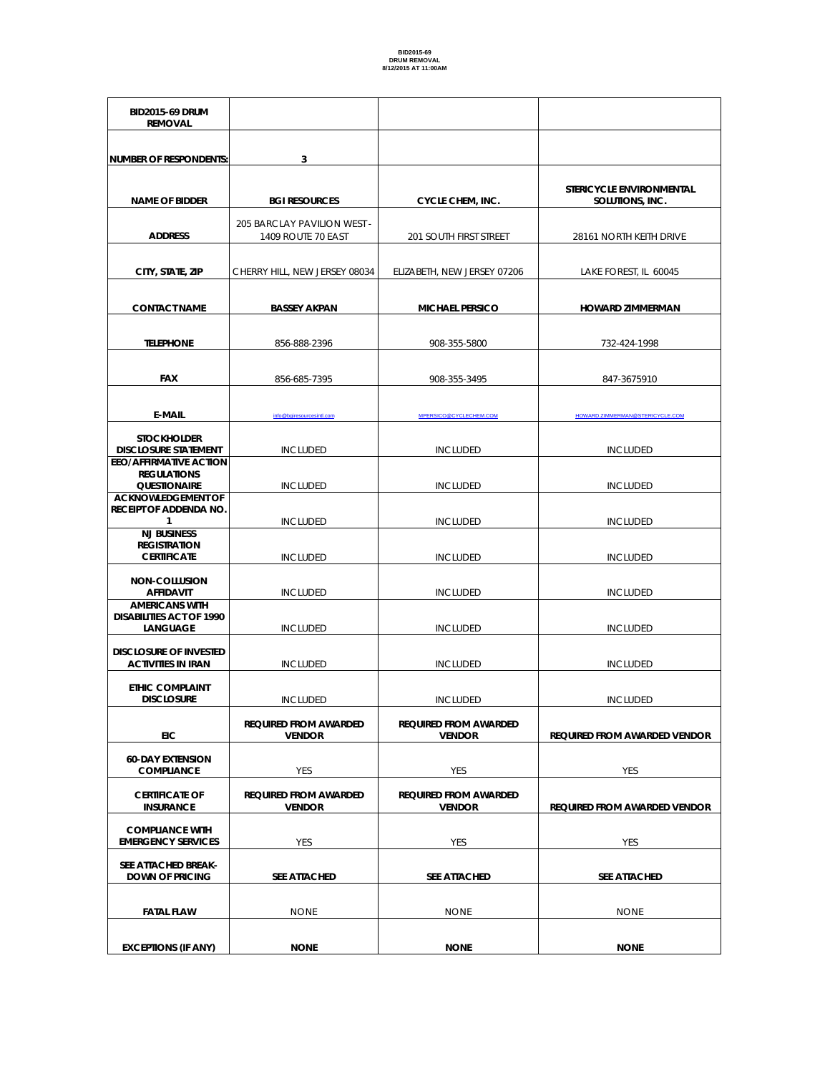**BID2015-69 DRUM REMOVAL NUMBER OF RESPONDENTS: 3 NAME OF BIDDER BGI RESOURCES** CYCLE CHEM, INC. **STERICYCLE ENVIRONMENTAL SOLUTIONS, INC. ADDRESS** 205 BARCLAY PAVILION WEST - 1409 ROUTE 70 EAST **201 SOUTH FIRST STREET** 28161 NORTH KEITH DRIVE **CITY, STATE, ZIP** CHERRY HILL, NEW JERSEY 08034 ELIZABETH, NEW JERSEY 07206 LAKE FOREST, IL 60045 **CONTACT NAME BASSEY AKPAN MICHAEL PERSICO HOWARD ZIMMERMAN TELEPHONE** 856-888-2396 908-355-5800 732-424-1998 **FAX** 856-685-7395 908-355-3495 847-3675910 **E-MAIL** info@bgiresourcesintl.com MPERSICO@CYCLECHEM.COM [HOWARD.ZIMMERMAN@STERICYCLE.COM](mailto:HOWARD.ZIMMERMAN@STERICYCLE.COM) **STOCKHOLDER DISCLOSURE STATEMENT [INCLUDED](mailto:MPERSICO@CYCLECHEM.COM) INCLUDED INCLUDED INCLUDED INCLUDED EEO/AFFIRMATIVE ACTION REGULATIONS QUESTIONAIRE** INCLUDED INCLUDED INCLUDED **ACKNOWLEDGEMENT OF RECEIPT OF ADDENDA NO. 1** INCLUDED INCLUDED INCLUDED INCLUDED INCLUDED **NJ BUSINESS REGISTRATION CERTIFICATE** INCLUDED INCLUDED INCLUDED **NON-COLLUSION AFFIDAVIT** INCLUDED INCLUDED INCLUDED **AMERICANS WITH DISABILITIES ACT OF 1990 LANGUAGE** INCLUDED INCLUDED INCLUDED **DISCLOSURE OF INVESTED ACTIVITIES IN IRAN INCLUDED** INCLUDED **INCLUDED** INCLUDED INCLUDED **ETHIC COMPLAINT DISCLOSURE** INCLUDED INCLUDED INCLUDED INCLUDED **EIC REQUIRED FROM AWARDED VENDOR REQUIRED FROM AWARDED VENDOR REQUIRED FROM AWARDED VENDOR 60-DAY EXTENSION COMPLIANCE** YES YES YES YES YES YES **CERTIFICATE OF INSURANCE REQUIRED FROM AWARDED VENDOR REQUIRED FROM AWARDED VENDOR REQUIRED FROM AWARDED VENDOR COMPLIANCE WITH EMERGENCY SERVICES WES** YES YES YES YES YES YES YES **SEE ATTACHED BREAK-DOWN OF PRICING SEE ATTACHED SEE ATTACHED SEE ATTACHED FATAL FLAW** NONE NONE NONE NONE NONE **EXCEPTIONS (IF ANY) NONE NONE NONE**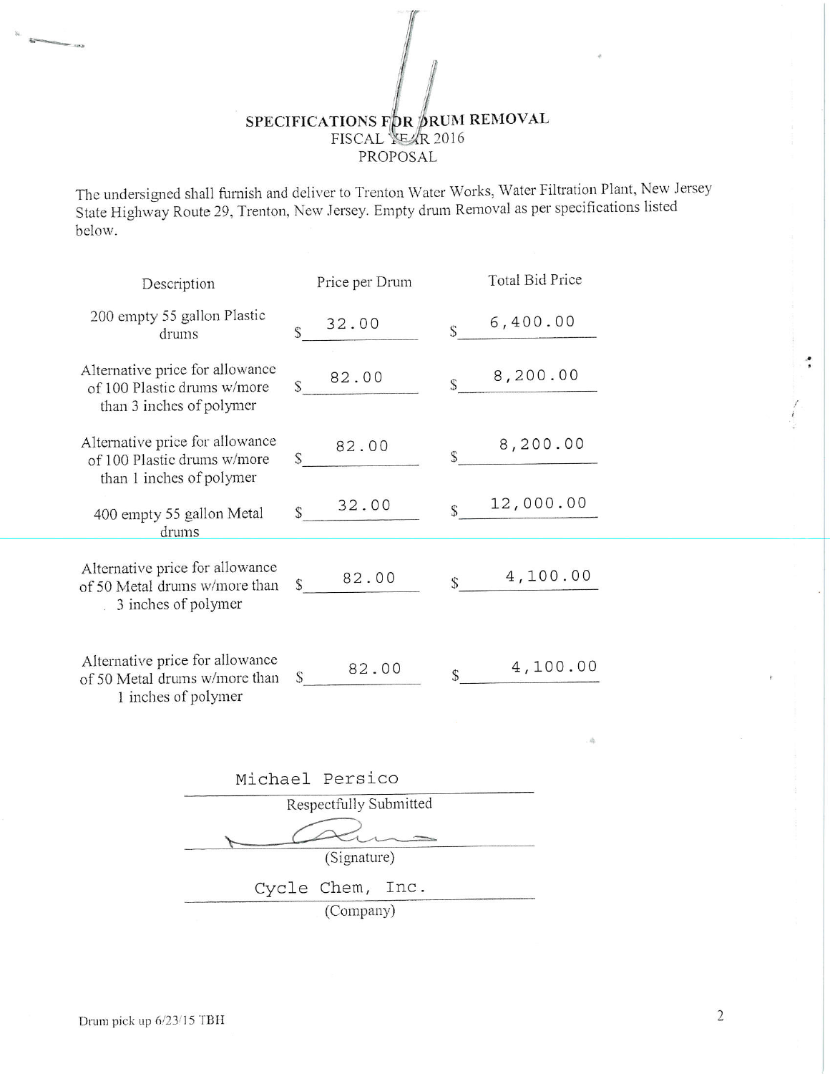## SPECIFICATIONS FOR SRUM REMOVAL PROPOSAL

The undersigned shall furnish and deliver to Trenton Water Works, Water Filtration Plant, New Jersey State Highway Route 29, Trenton, New Jersey. Empty drum Removal as per specifications listed below.

| Description                                                                                | Price per Drum |       |    | Total Bid Price |
|--------------------------------------------------------------------------------------------|----------------|-------|----|-----------------|
| 200 empty 55 gallon Plastic<br>drums                                                       | Ŝ              | 32.00 | \$ | 6,400.00        |
| Alternative price for allowance<br>of 100 Plastic drums w/more<br>than 3 inches of polymer | $\mathsf{S}$   | 82.00 | S  | 8,200.00        |
| Alternative price for allowance<br>of 100 Plastic drums w/more<br>than 1 inches of polymer | $\mathbb{S}$   | 82.00 | S  | 8,200.00        |
| 400 empty 55 gallon Metal<br>drums                                                         | S              | 32.00 | Ŝ  | 12,000.00       |
| Alternative price for allowance<br>of 50 Metal drums w/more than<br>3 inches of polymer    | $\mathsf S$    | 82.00 | S  | 4,100.00        |
| Alternative price for allowance<br>of 50 Metal drums w/more than<br>1 inches of polymer    | S              | 82.00 | S  | 4,100.00        |
|                                                                                            |                |       |    |                 |

| Michael Persico |                        |  |
|-----------------|------------------------|--|
|                 | Respectfully Submitted |  |
|                 |                        |  |
|                 | (Signature)            |  |
|                 | Cycle Chem, Inc.       |  |
|                 | (Company)              |  |

**Systems** 

er<br>Historia

 $\overline{2}$ 

: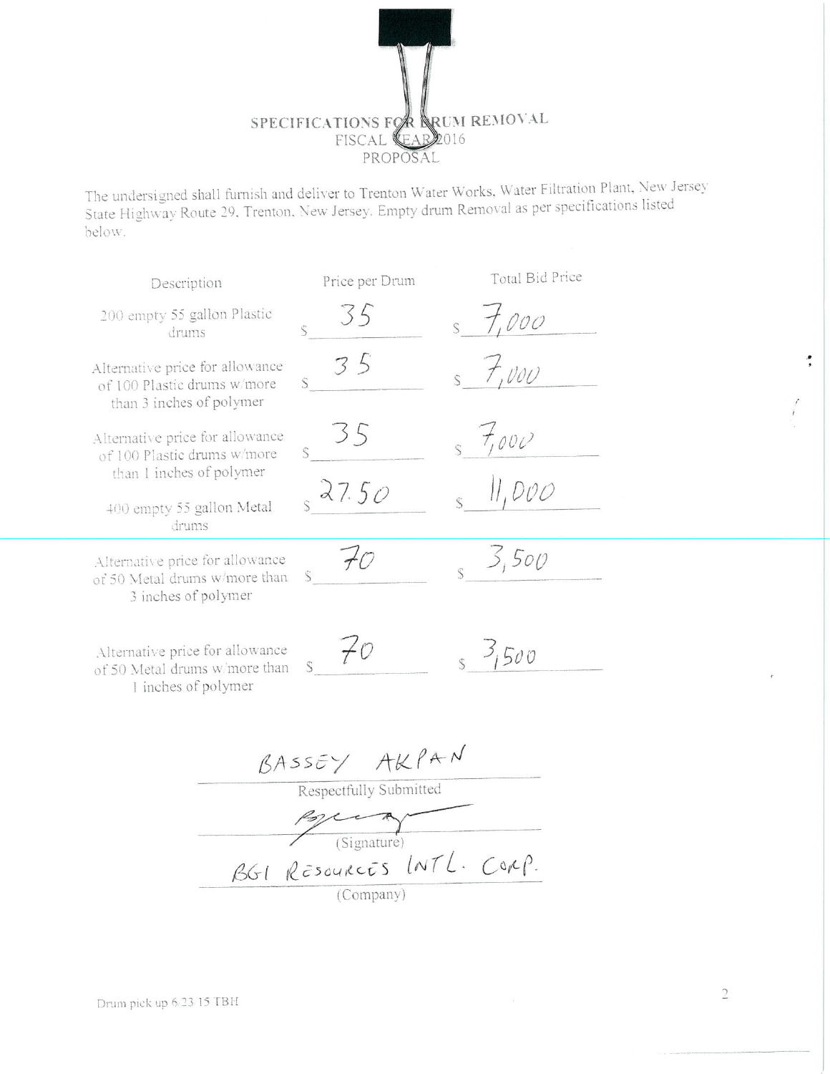SPECIFICATIONS FOR ARUM REMOVAL PROPOSAL

The undersigned shall furnish and deliver to Trenton Water Works, Water Filtration Plant, New Jersey State Highway Route 29, Trenton, New Jersey. Empty drum Removal as per specifications listed below.

| Description                                                                                | Price per Drum | Total Bid Price |  |  |  |  |
|--------------------------------------------------------------------------------------------|----------------|-----------------|--|--|--|--|
| 200 empty 55 gallon Plastic<br>drums                                                       | $\varsigma$    | 57,000          |  |  |  |  |
| Alternative price for allowance<br>of 100 Plastic drums w/more<br>than 3 inches of polymer | $\mathsf{S}$   | 57,000          |  |  |  |  |
| Alternative price for allowance<br>of 100 Plastic drums w/more<br>than 1 inches of polymer | 35             | 5,7000          |  |  |  |  |
| 400 empty 55 gallon Metal<br>drums                                                         | 827.50         | ,000            |  |  |  |  |
| Alternative price for allowance<br>of 50 Metal drums w/more than<br>3 inches of polymer    | $+0$           | 3,500           |  |  |  |  |
| Alternative price for allowance<br>of 50 Metal drums w/more than<br>1 inches of polymer    | $\not\vdash$   | 3, 3,500        |  |  |  |  |
| BASSEY AKPAN                                                                               |                |                 |  |  |  |  |
| Respectfully Submitted                                                                     |                |                 |  |  |  |  |
|                                                                                            | Signature)     |                 |  |  |  |  |

 $\ddot{\cdot}$